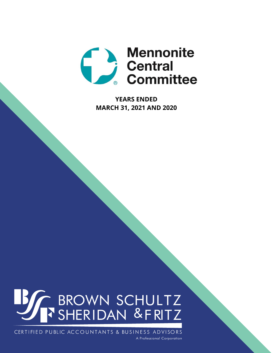

**YEARS ENDED MARCH 31, 2021 AND 2020**

# **BEAT BROWN SCHULTZ**

CERTIFIED PUBLIC ACCOUNTANTS & BUSINESS ADVISORS A Professional Corporation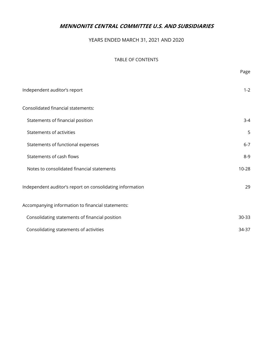# YEARS ENDED MARCH 31, 2021 AND 2020

## TABLE OF CONTENTS

|                                                           | Page      |
|-----------------------------------------------------------|-----------|
| Independent auditor's report                              | $1 - 2$   |
| Consolidated financial statements:                        |           |
| Statements of financial position                          | $3 - 4$   |
| Statements of activities                                  | 5         |
| Statements of functional expenses                         | $6 - 7$   |
| Statements of cash flows                                  | $8 - 9$   |
| Notes to consolidated financial statements                | $10 - 28$ |
| Independent auditor's report on consolidating information | 29        |
| Accompanying information to financial statements:         |           |
| Consolidating statements of financial position            | 30-33     |
| Consolidating statements of activities                    | 34-37     |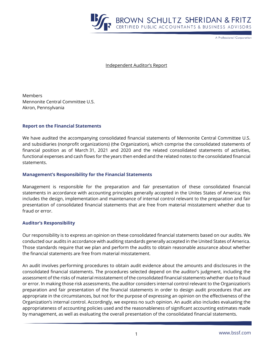

A Professional Corporation

Independent Auditor's Report

**Members** Mennonite Central Committee U.S. Akron, Pennsylvania

## **Report on the Financial Statements**

We have audited the accompanying consolidated financial statements of Mennonite Central Committee U.S. and subsidiaries (nonprofit organizations) (the Organization), which comprise the consolidated statements of financial position as of March 31, 2021 and 2020 and the related consolidated statements of activities, functional expenses and cash flows for the years then ended and the related notes to the consolidated financial statements.

## **Management's Responsibility for the Financial Statements**

Management is responsible for the preparation and fair presentation of these consolidated financial statements in accordance with accounting principles generally accepted in the Unites States of America; this includes the design, implementation and maintenance of internal control relevant to the preparation and fair presentation of consolidated financial statements that are free from material misstatement whether due to fraud or error.

## **Auditor's Responsibility**

Our responsibility is to express an opinion on these consolidated financial statements based on our audits. We conducted our audits in accordance with auditing standards generally accepted in the United States of America. Those standards require that we plan and perform the audits to obtain reasonable assurance about whether the financial statements are free from material misstatement.

An audit involves performing procedures to obtain audit evidence about the amounts and disclosures in the consolidated financial statements. The procedures selected depend on the auditor's judgment, including the assessment of the risks of material misstatement of the consolidated financial statements whether due to fraud or error. In making those risk assessments, the auditor considers internal control relevant to the Organization's preparation and fair presentation of the financial statements in order to design audit procedures that are appropriate in the circumstances, but not for the purpose of expressing an opinion on the effectiveness of the Organization's internal control. Accordingly, we express no such opinion. An audit also includes evaluating the appropriateness of accounting policies used and the reasonableness of significant accounting estimates made by management, as well as evaluating the overall presentation of the consolidated financial statements.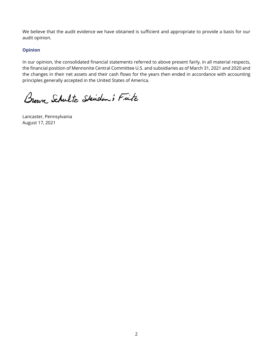We believe that the audit evidence we have obtained is sufficient and appropriate to provide a basis for our audit opinion.

## **Opinion**

In our opinion, the consolidated financial statements referred to above present fairly, in all material respects, the financial position of Mennonite Central Committee U.S. and subsidiaries as of March 31, 2021 and 2020 and the changes in their net assets and their cash flows for the years then ended in accordance with accounting principles generally accepted in the United States of America.

Brown Schultz Skidan's Fitz

Lancaster, Pennsylvania August 17, 2021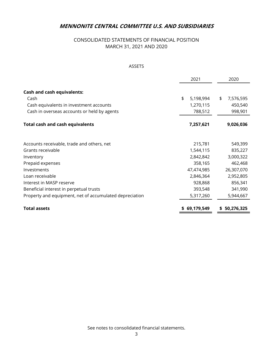# CONSOLIDATED STATEMENTS OF FINANCIAL POSITION MARCH 31, 2021 AND 2020

## ASSETS

|                                                         | 2021            | 2020            |
|---------------------------------------------------------|-----------------|-----------------|
| <b>Cash and cash equivalents:</b><br>Cash               | \$<br>5,198,994 | \$<br>7,576,595 |
| Cash equivalents in investment accounts                 | 1,270,115       | 450,540         |
| Cash in overseas accounts or held by agents             | 788,512         | 998,901         |
| <b>Total cash and cash equivalents</b>                  | 7,257,621       | 9,026,036       |
| Accounts receivable, trade and others, net              | 215,781         | 549,399         |
| Grants receivable                                       | 1,544,115       | 835,227         |
| Inventory                                               | 2,842,842       | 3,000,322       |
| Prepaid expenses                                        | 358,165         | 462,468         |
| Investments                                             | 47,474,985      | 26,307,070      |
| Loan receivable                                         | 2,846,364       | 2,952,805       |
| Interest in MASP reserve                                | 928,868         | 856,341         |
| Beneficial interest in perpetual trusts                 | 393,548         | 341,990         |
| Property and equipment, net of accumulated depreciation | 5,317,260       | 5,944,667       |
| <b>Total assets</b>                                     | \$69,179,549    | 50,276,325<br>S |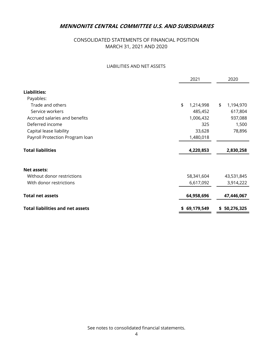# CONSOLIDATED STATEMENTS OF FINANCIAL POSITION MARCH 31, 2021 AND 2020

## LIABILITIES AND NET ASSETS

|                                         | 2021 |              |     | 2020       |
|-----------------------------------------|------|--------------|-----|------------|
| <b>Liabilities:</b>                     |      |              |     |            |
| Payables:                               |      |              |     |            |
| Trade and others                        | \$   | 1,214,998    | \$  | 1,194,970  |
| Service workers                         |      | 485,452      |     | 617,804    |
| Accrued salaries and benefits           |      | 1,006,432    |     | 937,088    |
| Deferred income                         |      | 325          |     | 1,500      |
| Capital lease liability                 |      | 33,628       |     | 78,896     |
| Payroll Protection Program loan         |      | 1,480,018    |     |            |
| <b>Total liabilities</b>                |      | 4,220,853    |     | 2,830,258  |
| <b>Net assets:</b>                      |      |              |     |            |
| Without donor restrictions              |      | 58,341,604   |     | 43,531,845 |
| With donor restrictions                 |      | 6,617,092    |     | 3,914,222  |
| <b>Total net assets</b>                 |      | 64,958,696   |     | 47,446,067 |
| <b>Total liabilities and net assets</b> |      | \$69,179,549 | \$. | 50,276,325 |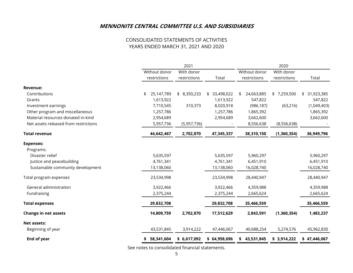## CONSOLIDATED STATEMENTS OF ACTIVITIES YEARS ENDED MARCH 31, 2021 AND 2020

|                                       |                  | 2021         |                  |                  | 2020         |               |
|---------------------------------------|------------------|--------------|------------------|------------------|--------------|---------------|
|                                       | Without donor    | With donor   |                  | Without donor    | With donor   |               |
|                                       | restrictions     | restrictions | Total            | restrictions     | restrictions | Total         |
| <b>Revenue:</b>                       |                  |              |                  |                  |              |               |
| Contributions                         | 25,147,789<br>\$ | \$8,350,233  | 33,498,022<br>\$ | 24,663,885<br>\$ | \$7,259,500  | \$ 31,923,385 |
| Grants                                | 1,613,922        |              | 1,613,922        | 547,822          |              | 547,822       |
| Investment earnings                   | 7,710,545        | 310,373      | 8,020,918        | (986, 187)       | (63, 216)    | (1,049,403)   |
| Other program and miscellaneous       | 1,257,786        |              | 1,257,786        | 1,865,392        |              | 1,865,392     |
| Material resources donated in-kind    | 2,954,689        |              | 2,954,689        | 3,662,600        |              | 3,662,600     |
| Net assets released from restrictions | 5,957,736        | (5,957,736)  |                  | 8,556,638        | (8,556,638)  |               |
| <b>Total revenue</b>                  | 44,642,467       | 2,702,870    | 47,345,337       | 38,310,150       | (1,360,354)  | 36,949,796    |
| <b>Expenses:</b>                      |                  |              |                  |                  |              |               |
| Programs:                             |                  |              |                  |                  |              |               |
| Disaster relief                       | 5,635,597        |              | 5,635,597        | 5,960,297        |              | 5,960,297     |
| Justice and peacebuilding             | 4,761,341        |              | 4,761,341        | 6,451,910        |              | 6,451,910     |
| Sustainable community development     | 13,138,060       |              | 13,138,060       | 16,028,740       |              | 16,028,740    |
| Total program expenses                | 23,534,998       |              | 23,534,998       | 28,440,947       |              | 28,440,947    |
| General administration                | 3,922,466        |              | 3,922,466        | 4,359,988        |              | 4,359,988     |
| Fundraising                           | 2,375,244        |              | 2,375,244        | 2,665,624        |              | 2,665,624     |
| <b>Total expenses</b>                 | 29,832,708       |              | 29,832,708       | 35,466,559       |              | 35,466,559    |
| Change in net assets                  | 14,809,759       | 2,702,870    | 17,512,629       | 2,843,591        | (1,360,354)  | 1,483,237     |
| <b>Net assets:</b>                    |                  |              |                  |                  |              |               |
| Beginning of year                     | 43,531,845       | 3,914,222    | 47,446,067       | 40,688,254       | 5,274,576    | 45,962,830    |
| <b>End of year</b>                    | 58,341,604       | \$6,617,092  | \$64,958,696     | \$43,531,845     | \$3,914,222  | \$47,446,067  |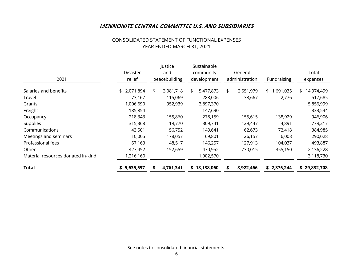## CONSOLIDATED STATEMENT OF FUNCTIONAL EXPENSES YEAR ENDED MARCH 31, 2021

| 2021                               | Disaster<br>relief | Justice<br>and<br>peacebuilding | Sustainable<br>community<br>development | General<br>administration | Fundraising     | Total<br>expenses |
|------------------------------------|--------------------|---------------------------------|-----------------------------------------|---------------------------|-----------------|-------------------|
| Salaries and benefits              | \$ 2,071,894       | \$<br>3,081,718                 | \$<br>5,477,873                         | \$<br>2,651,979           | 1,691,035<br>\$ | 14,974,499<br>\$  |
| Travel                             | 73,167             | 115,069                         | 288,006                                 | 38,667                    | 2,776           | 517,685           |
| Grants                             | 1,006,690          | 952,939                         | 3,897,370                               |                           |                 | 5,856,999         |
| Freight                            | 185,854            |                                 | 147,690                                 |                           |                 | 333,544           |
| Occupancy                          | 218,343            | 155,860                         | 278,159                                 | 155,615                   | 138,929         | 946,906           |
| Supplies                           | 315,368            | 19,770                          | 309,741                                 | 129,447                   | 4,891           | 779,217           |
| Communications                     | 43,501             | 56,752                          | 149,641                                 | 62,673                    | 72,418          | 384,985           |
| Meetings and seminars              | 10,005             | 178,057                         | 69,801                                  | 26,157                    | 6,008           | 290,028           |
| Professional fees                  | 67,163             | 48,517                          | 146,257                                 | 127,913                   | 104,037         | 493,887           |
| Other                              | 427,452            | 152,659                         | 470,952                                 | 730,015                   | 355,150         | 2,136,228         |
| Material resources donated in-kind | 1,216,160          |                                 | 1,902,570                               |                           |                 | 3,118,730         |
| <b>Total</b>                       | 5,635,597          | 4,761,341                       | \$13,138,060                            | 3,922,466                 | \$2,375,244     | \$29,832,708      |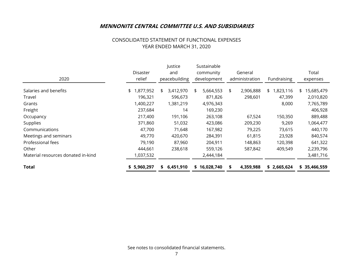## CONSOLIDATED STATEMENT OF FUNCTIONAL EXPENSES YEAR ENDED MARCH 31, 2020

|                                    |                 | Justice         | Sustainable     |                 |                |                  |
|------------------------------------|-----------------|-----------------|-----------------|-----------------|----------------|------------------|
|                                    | <b>Disaster</b> | and             | community       | General         |                | Total            |
| 2020                               | relief          | peacebuilding   | development     | administration  | Fundraising    | expenses         |
| Salaries and benefits              | ,877,952<br>\$. | 3,412,970<br>\$ | 5,664,553<br>\$ | 2,906,888<br>\$ | ,823,116<br>\$ | 15,685,479<br>\$ |
| Travel                             | 196,321         | 596,673         | 871,826         | 298,601         | 47,399         | 2,010,820        |
| Grants                             | 1,400,227       | 1,381,219       | 4,976,343       |                 | 8,000          | 7,765,789        |
| Freight                            | 237,684         | 14              | 169,230         |                 |                | 406,928          |
| Occupancy                          | 217,400         | 191,106         | 263,108         | 67,524          | 150,350        | 889,488          |
| Supplies                           | 371,860         | 51,032          | 423,086         | 209,230         | 9,269          | 1,064,477        |
| Communications                     | 47,700          | 71,648          | 167,982         | 79,225          | 73,615         | 440,170          |
| Meetings and seminars              | 49,770          | 420,670         | 284,391         | 61,815          | 23,928         | 840,574          |
| Professional fees                  | 79,190          | 87,960          | 204,911         | 148,863         | 120,398        | 641,322          |
| Other                              | 444,661         | 238,618         | 559,126         | 587,842         | 409,549        | 2,239,796        |
| Material resources donated in-kind | 1,037,532       |                 | 2,444,184       |                 |                | 3,481,716        |
| <b>Total</b>                       | \$5,960,297     | 6,451,910<br>S. | \$16,028,740    | 4,359,988<br>\$ | \$2,665,624    | \$35,466,559     |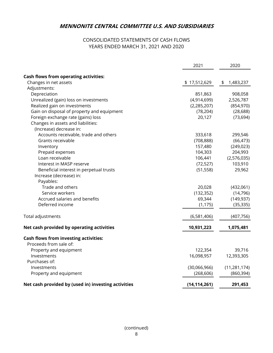# CONSOLIDATED STATEMENTS OF CASH FLOWS YEARS ENDED MARCH 31, 2021 AND 2020

|                                                                       | 2021           | 2020           |
|-----------------------------------------------------------------------|----------------|----------------|
|                                                                       |                |                |
| <b>Cash flows from operating activities:</b><br>Changes in net assets | \$17,512,629   | 1,483,237      |
| Adjustments:                                                          |                | \$             |
| Depreciation                                                          | 851,863        | 908,058        |
| Unrealized (gain) loss on investments                                 | (4,914,699)    | 2,526,787      |
| Realized gain on investments                                          | (2, 285, 207)  | (854, 970)     |
| Gain on disposal of property and equipment                            | (78, 204)      | (28, 688)      |
| Foreign exchange rate (gains) loss                                    | 20,127         | (73, 694)      |
| Changes in assets and liabilities:                                    |                |                |
| (Increase) decrease in:                                               |                |                |
| Accounts receivable, trade and others                                 | 333,618        | 299,546        |
| Grants receivable                                                     | (708, 888)     | (66, 473)      |
| Inventory                                                             | 157,480        | (249, 023)     |
| Prepaid expenses                                                      | 104,303        | 204,993        |
| Loan receivable                                                       | 106,441        | (2,576,035)    |
| Interest in MASP reserve                                              | (72, 527)      | 103,910        |
| Beneficial interest in perpetual trusts                               | (51, 558)      | 29,962         |
| Increase (decrease) in:                                               |                |                |
| Payables:                                                             |                |                |
| Trade and others                                                      | 20,028         | (432,061)      |
| Service workers                                                       | (132, 352)     | (14, 796)      |
| Accrued salaries and benefits                                         | 69,344         | (149, 937)     |
| Deferred income                                                       | (1, 175)       | (35, 335)      |
|                                                                       |                |                |
| Total adjustments                                                     | (6,581,406)    | (407, 756)     |
| Net cash provided by operating activities                             | 10,931,223     | 1,075,481      |
| <b>Cash flows from investing activities:</b>                          |                |                |
| Proceeds from sale of:                                                |                |                |
| Property and equipment                                                | 122,354        | 39,716         |
| Investments                                                           | 16,098,957     | 12,393,305     |
| Purchases of:                                                         |                |                |
| Investments                                                           | (30,066,966)   | (11, 281, 174) |
| Property and equipment                                                | (268, 606)     | (860, 394)     |
| Net cash provided by (used in) investing activities                   | (14, 114, 261) | 291,453        |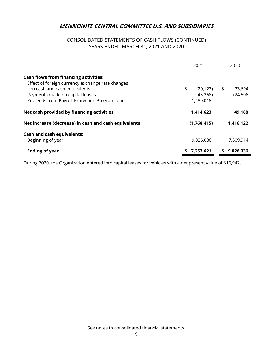# CONSOLIDATED STATEMENTS OF CASH FLOWS (CONTINUED) YEARS ENDED MARCH 31, 2021 AND 2020

|                                                                                                                                                                     | 2021                         | 2020                      |
|---------------------------------------------------------------------------------------------------------------------------------------------------------------------|------------------------------|---------------------------|
| <b>Cash flows from financing activities:</b><br>Effect of foreign currency exchange rate changes<br>on cash and cash equivalents<br>Payments made on capital leases | \$<br>(20, 127)<br>(45, 268) | \$<br>73,694<br>(24, 506) |
| Proceeds from Payroll Protection Program Ioan                                                                                                                       | 1,480,018                    |                           |
| Net cash provided by financing activities                                                                                                                           | 1,414,623                    | 49,188                    |
| Net increase (decrease) in cash and cash equivalents                                                                                                                | (1,768,415)                  | 1,416,122                 |
| <b>Cash and cash equivalents:</b><br>Beginning of year                                                                                                              | 9,026,036                    | 7,609,914                 |
| <b>Ending of year</b>                                                                                                                                               | 7,257,621<br>S               | 9,026,036                 |

During 2020, the Organization entered into capital leases for vehicles with a net present value of \$16,942.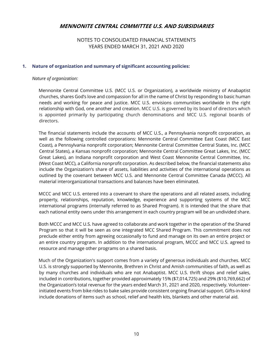NOTES TO CONSOLIDATED FINANCIAL STATEMENTS YEARS ENDED MARCH 31, 2021 AND 2020

## **1. Nature of organization and summary of significant accounting policies:**

#### *Nature of organization:*

 Mennonite Central Committee U.S. (MCC U.S. or Organization), a worldwide ministry of Anabaptist churches, shares God's love and compassion for all in the name of Christ by responding to basic human needs and working for peace and justice. MCC U.S. envisions communities worldwide in the right relationship with God, one another and creation. MCC U.S. is governed by its board of directors which is appointed primarily by participating church denominations and MCC U.S. regional boards of directors.

 The financial statements include the accounts of MCC U.S., a Pennsylvania nonprofit corporation, as well as the following controlled corporations: Mennonite Central Committee East Coast (MCC East Coast), a Pennsylvania nonprofit corporation; Mennonite Central Committee Central States, Inc. (MCC Central States), a Kansas nonprofit corporation; Mennonite Central Committee Great Lakes, Inc. (MCC Great Lakes), an Indiana nonprofit corporation and West Coast Mennonite Central Committee, Inc. (West Coast MCC), a California nonprofit corporation. As described below, the financial statements also include the Organization's share of assets, liabilities and activities of the international operations as outlined by the covenant between MCC U.S. and Mennonite Central Committee Canada (MCCC). All material interorganizational transactions and balances have been eliminated.

 MCCC and MCC U.S. entered into a covenant to share the operations and all related assets, including property, relationships, reputation, knowledge, experience and supporting systems of the MCC international programs (internally referred to as Shared Program). It is intended that the share that each national entity owns under this arrangement in each country program will be an undivided share.

 Both MCCC and MCC U.S. have agreed to collaborate and work together in the operation of the Shared Program so that it will be seen as one integrated MCC Shared Program. This commitment does not preclude either entity from agreeing occasionally to fund and manage on its own an entire project or an entire country program. In addition to the international program, MCCC and MCC U.S. agreed to resource and manage other programs on a shared basis.

 Much of the Organization's support comes from a variety of generous individuals and churches. MCC U.S. is strongly supported by Mennonite, Brethren in Christ and Amish communities of faith, as well as by many churches and individuals who are not Anabaptist. MCC U.S. thrift shops and relief sales, included in contributions, together provided approximately 15% (\$7,014,725) and 29% (\$10,769,662) of the Organization's total revenue for the years ended March 31, 2021 and 2020, respectively. Volunteerinitiated events from bike rides to bake sales provide consistent ongoing financial support. Gifts-in-kind include donations of items such as school, relief and health kits, blankets and other material aid.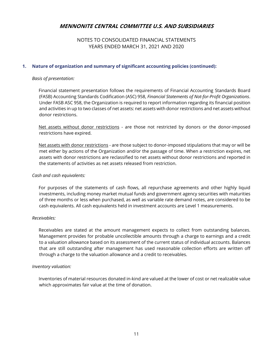## NOTES TO CONSOLIDATED FINANCIAL STATEMENTS YEARS ENDED MARCH 31, 2021 AND 2020

## **1. Nature of organization and summary of significant accounting policies (continued):**

## *Basis of presentation:*

 Financial statement presentation follows the requirements of Financial Accounting Standards Board (FASB) Accounting Standards Codification (ASC) 958, *Financial Statements of Not-for-Profit Organizations*. Under FASB ASC 958, the Organization is required to report information regarding its financial position and activities in up to two classes of net assets: net assets with donor restrictions and net assets without donor restrictions.

Net assets without donor restrictions - are those not restricted by donors or the donor-imposed restrictions have expired.

 Net assets with donor restrictions - are those subject to donor-imposed stipulations that may or will be met either by actions of the Organization and/or the passage of time. When a restriction expires, net assets with donor restrictions are reclassified to net assets without donor restrictions and reported in the statements of activities as net assets released from restriction.

## *Cash and cash equivalents:*

 For purposes of the statements of cash flows, all repurchase agreements and other highly liquid investments, including money market mutual funds and government agency securities with maturities of three months or less when purchased, as well as variable rate demand notes, are considered to be cash equivalents. All cash equivalents held in investment accounts are Level 1 measurements.

## *Receivables:*

 Receivables are stated at the amount management expects to collect from outstanding balances. Management provides for probable uncollectible amounts through a charge to earnings and a credit to a valuation allowance based on its assessment of the current status of individual accounts. Balances that are still outstanding after management has used reasonable collection efforts are written off through a charge to the valuation allowance and a credit to receivables.

## *Inventory valuation:*

 Inventories of material resources donated in-kind are valued at the lower of cost or net realizable value which approximates fair value at the time of donation.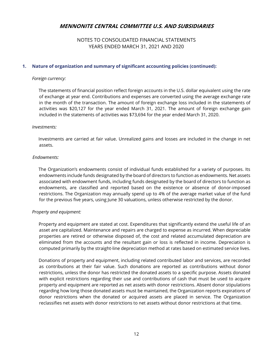## NOTES TO CONSOLIDATED FINANCIAL STATEMENTS YEARS ENDED MARCH 31, 2021 AND 2020

#### **1. Nature of organization and summary of significant accounting policies (continued):**

#### *Foreign currency:*

 The statements of financial position reflect foreign accounts in the U.S. dollar equivalent using the rate of exchange at year end. Contributions and expenses are converted using the average exchange rate in the month of the transaction. The amount of foreign exchange loss included in the statements of activities was \$20,127 for the year ended March 31, 2021. The amount of foreign exchange gain included in the statements of activities was \$73,694 for the year ended March 31, 2020.

#### *Investments:*

 Investments are carried at fair value. Unrealized gains and losses are included in the change in net assets.

#### *Endowments:*

 The Organization's endowments consist of individual funds established for a variety of purposes. Its endowments include funds designated by the board of directors to function as endowments. Net assets associated with endowment funds, including funds designated by the board of directors to function as endowments, are classified and reported based on the existence or absence of donor-imposed restrictions. The Organization may annually spend up to 4% of the average market value of the fund for the previous five years, using June 30 valuations, unless otherwise restricted by the donor.

## *Property and equipment:*

 Property and equipment are stated at cost. Expenditures that significantly extend the useful life of an asset are capitalized. Maintenance and repairs are charged to expense as incurred. When depreciable properties are retired or otherwise disposed of, the cost and related accumulated depreciation are eliminated from the accounts and the resultant gain or loss is reflected in income. Depreciation is computed primarily by the straight-line depreciation method at rates based on estimated service lives.

 Donations of property and equipment, including related contributed labor and services, are recorded as contributions at their fair value. Such donations are reported as contributions without donor restrictions, unless the donor has restricted the donated assets to a specific purpose. Assets donated with explicit restrictions regarding their use and contributions of cash that must be used to acquire property and equipment are reported as net assets with donor restrictions. Absent donor stipulations regarding how long those donated assets must be maintained, the Organization reports expirations of donor restrictions when the donated or acquired assets are placed in service. The Organization reclassifies net assets with donor restrictions to net assets without donor restrictions at that time.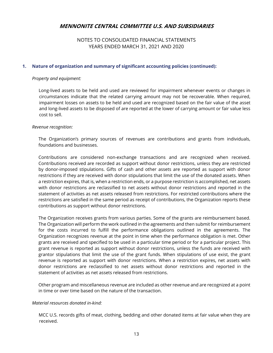## NOTES TO CONSOLIDATED FINANCIAL STATEMENTS YEARS ENDED MARCH 31, 2021 AND 2020

## **1. Nature of organization and summary of significant accounting policies (continued):**

## *Property and equipment:*

 Long-lived assets to be held and used are reviewed for impairment whenever events or changes in circumstances indicate that the related carrying amount may not be recoverable. When required, impairment losses on assets to be held and used are recognized based on the fair value of the asset and long-lived assets to be disposed of are reported at the lower of carrying amount or fair value less cost to sell.

#### *Revenue recognition:*

The Organization's primary sources of revenues are contributions and grants from individuals, foundations and businesses.

Contributions are considered non-exchange transactions and are recognized when received. Contributions received are recorded as support without donor restrictions, unless they are restricted by donor-imposed stipulations. Gifts of cash and other assets are reported as support with donor restrictions if they are received with donor stipulations that limit the use of the donated assets. When a restriction expires, that is, when a restriction ends, or a purpose restriction is accomplished, net assets with donor restrictions are reclassified to net assets without donor restrictions and reported in the statement of activities as net assets released from restrictions. For restricted contributions where the restrictions are satisfied in the same period as receipt of contributions, the Organization reports these contributions as support without donor restrictions.

The Organization receives grants from various parties. Some of the grants are reimbursement based. The Organization will perform the work outlined in the agreements and then submit for reimbursement for the costs incurred to fulfill the performance obligations outlined in the agreements. The Organization recognizes revenue at the point in time when the performance obligation is met. Other grants are received and specified to be used in a particular time period or for a particular project. This grant revenue is reported as support without donor restrictions, unless the funds are received with grantor stipulations that limit the use of the grant funds. When stipulations of use exist, the grant revenue is reported as support with donor restrictions. When a restriction expires, net assets with donor restrictions are reclassified to net assets without donor restrictions and reported in the statement of activities as net assets released from restrictions.

Other program and miscellaneous revenue are included as other revenue and are recognized at a point in time or over time based on the nature of the transaction.

## *Material resources donated in-kind:*

 MCC U.S. records gifts of meat, clothing, bedding and other donated items at fair value when they are received.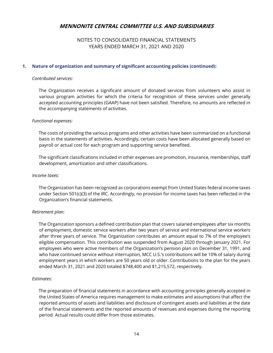## NOTES TO CONSOLIDATED FINANCIAL STATEMENTS YEARS ENDED MARCH 31, 2021 AND 2020

## **1. Nature of organization and summary of significant accounting policies (continued):**

#### *Contributed services:*

 The Organization receives a significant amount of donated services from volunteers who assist in various program activities for which the criteria for recognition of these services under generally accepted accounting principles (GAAP) have not been satisfied. Therefore, no amounts are reflected in the accompanying statements of activities.

#### *Functional expenses:*

 The costs of providing the various programs and other activities have been summarized on a functional basis in the statements of activities. Accordingly, certain costs have been allocated generally based on payroll or actual cost for each program and supporting service benefited.

 The significant classifications included in other expenses are promotion, insurance, memberships, staff development, amortization and other classifications.

#### *Income taxes:*

 The Organization has been recognized as corporations exempt from United States federal income taxes under Section 501(c)(3) of the IRC. Accordingly, no provision for income taxes has been reflected in the Organization's financial statements.

## *Retirement plan:*

 The Organization sponsors a defined contribution plan that covers salaried employees after six months of employment, domestic service workers after two years of service and international service workers after three years of service. The Organization contributes an amount equal to 7% of the employee's eligible compensation. This contribution was suspended from August 2020 through January 2021. For employees who were active members of the Organization's pension plan on December 31, 1991, and who have continued service without interruption, MCC U.S.'s contributions will be 10% of salary during employment years in which workers are 50 years old or older. Contributions to the plan for the years ended March 31, 2021 and 2020 totaled \$748,400 and \$1,215,572, respectively.

## *Estimates:*

 The preparation of financial statements in accordance with accounting principles generally accepted in the United States of America requires management to make estimates and assumptions that affect the reported amounts of assets and liabilities and disclosure of contingent assets and liabilities at the date of the financial statements and the reported amounts of revenues and expenses during the reporting period. Actual results could differ from those estimates.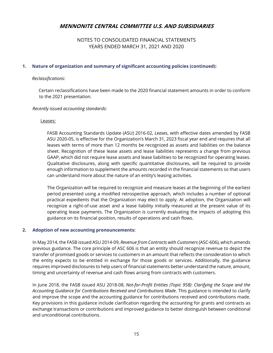## NOTES TO CONSOLIDATED FINANCIAL STATEMENTS YEARS ENDED MARCH 31, 2021 AND 2020

## **1. Nature of organization and summary of significant accounting policies (continued):**

#### *Reclassifications:*

 Certain reclassifications have been made to the 2020 financial statement amounts in order to conform to the 2021 presentation.

#### *Recently issued accounting standards:*

#### Leases:

 FASB Accounting Standards Update (ASU) 2016-02, *Leases*, with effective dates amended by FASB ASU 2020-05, is effective for the Organization's March 31, 2023 fiscal year end and requires that all leases with terms of more than 12 months be recognized as assets and liabilities on the balance sheet. Recognition of these lease assets and lease liabilities represents a change from previous GAAP, which did not require lease assets and lease liabilities to be recognized for operating leases. Qualitative disclosures, along with specific quantitative disclosures, will be required to provide enough information to supplement the amounts recorded in the financial statements so that users can understand more about the nature of an entity's leasing activities.

 The Organization will be required to recognize and measure leases at the beginning of the earliest period presented using a modified retrospective approach, which includes a number of optional practical expedients that the Organization may elect to apply. At adoption, the Organization will recognize a right-of-use asset and a lease liability initially measured at the present value of its operating lease payments. The Organization is currently evaluating the impacts of adopting this guidance on its financial position, results of operations and cash flows.

## **2. Adoption of new accounting pronouncements:**

In May 2014, the FASB issued ASU 2014-09, *Revenue from Contracts with Customers* (ASC-606), which amends previous guidance. The core principle of ASC 606 is that an entity should recognize revenue to depict the transfer of promised goods or services to customers in an amount that reflects the consideration to which the entity expects to be entitled in exchange for those goods or services. Additionally, the guidance requires improved disclosures to help users of financial statements better understand the nature, amount, timing and uncertainty of revenue and cash flows arising from contracts with customers.

In June 2018, the FASB issued ASU 2018-08, *Not-for-Profit Entities (Topic 958)*: *Clarifying the Scope and the Accounting Guidance for Contributions Received and Contributions Made*. This guidance is intended to clarify and improve the scope and the accounting guidance for contributions received and contributions made. Key provisions in this guidance include clarification regarding the accounting for grants and contracts as exchange transactions or contributions and improved guidance to better distinguish between conditional and unconditional contributions.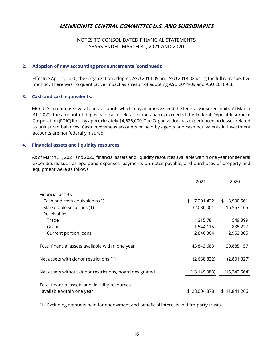# NOTES TO CONSOLIDATED FINANCIAL STATEMENTS YEARS ENDED MARCH 31, 2021 AND 2020

## **2. Adoption of new accounting pronouncements (continued):**

Effective April 1, 2020, the Organization adopted ASU 2014-09 and ASU 2018-08 using the full retrospective method. There was no quantitative impact as a result of adopting ASU 2014-09 and ASU 2018-08.

## **3. Cash and cash equivalents:**

 MCC U.S. maintains several bank accounts which may at times exceed the federally insured limits. At March 31, 2021, the amount of deposits in cash held at various banks exceeded the Federal Deposit Insurance Corporation (FDIC) limit by approximately \$4,626,000. The Organization has experienced no losses related to uninsured balances. Cash in overseas accounts or held by agents and cash equivalents in investment accounts are not federally insured.

## **4. Financial assets and liquidity resources:**

 As of March 31, 2021 and 2020, financial assets and liquidity resources available within one year for general expenditure, such as operating expenses, payments on notes payable, and purchases of property and equipment were as follows:

|                                                         | 2021            | 2020            |
|---------------------------------------------------------|-----------------|-----------------|
| Financial assets:                                       |                 |                 |
|                                                         |                 |                 |
| Cash and cash equivalents (1)                           | 7,201,422<br>\$ | 8,990,561<br>\$ |
| Marketable securities (1)                               | 32,036,001      | 16,557,165      |
| Receivables:                                            |                 |                 |
| Trade                                                   | 215,781         | 549,399         |
| Grant                                                   | 1,544,115       | 835,227         |
| Current portion loans                                   | 2,846,364       | 2,952,805       |
|                                                         |                 |                 |
| Total financial assets available within one year        | 43,843,683      | 29,885,157      |
|                                                         |                 |                 |
| Net assets with donor restrictions (1)                  | (2,688,822)     | (2,801,327)     |
| Net assets without donor restrictions, board designated | (13, 149, 983)  | (15, 242, 564)  |
|                                                         |                 |                 |
| Total financial assets and liquidity resources          |                 |                 |
| available within one year                               | \$28,004,878    | \$11,841,266    |

(1) Excluding amounts held for endowment and beneficial interests in third-party trusts.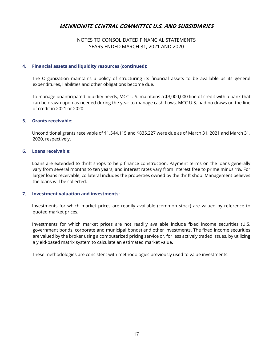## NOTES TO CONSOLIDATED FINANCIAL STATEMENTS YEARS ENDED MARCH 31, 2021 AND 2020

## **4. Financial assets and liquidity resources (continued):**

 The Organization maintains a policy of structuring its financial assets to be available as its general expenditures, liabilities and other obligations become due.

 To manage unanticipated liquidity needs, MCC U.S. maintains a \$3,000,000 line of credit with a bank that can be drawn upon as needed during the year to manage cash flows. MCC U.S. had no draws on the line of credit in 2021 or 2020.

#### **5. Grants receivable:**

 Unconditional grants receivable of \$1,544,115 and \$835,227 were due as of March 31, 2021 and March 31, 2020, respectively.

#### **6. Loans receivable:**

 Loans are extended to thrift shops to help finance construction. Payment terms on the loans generally vary from several months to ten years, and interest rates vary from interest free to prime minus 1%. For larger loans receivable, collateral includes the properties owned by the thrift shop. Management believes the loans will be collected.

## **7. Investment valuation and investments:**

 Investments for which market prices are readily available (common stock) are valued by reference to quoted market prices.

 Investments for which market prices are not readily available include fixed income securities (U.S. government bonds, corporate and municipal bonds) and other investments. The fixed income securities are valued by the broker using a computerized pricing service or, for less actively traded issues, by utilizing a yield-based matrix system to calculate an estimated market value.

These methodologies are consistent with methodologies previously used to value investments.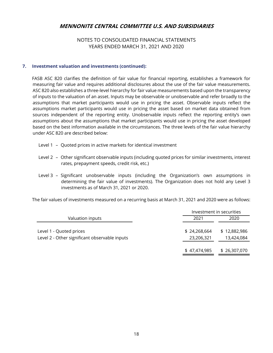## NOTES TO CONSOLIDATED FINANCIAL STATEMENTS YEARS ENDED MARCH 31, 2021 AND 2020

## **7. Investment valuation and investments (continued):**

 FASB ASC 820 clarifies the definition of fair value for financial reporting, establishes a framework for measuring fair value and requires additional disclosures about the use of the fair value measurements. ASC 820 also establishes a three-level hierarchy for fair value measurements based upon the transparency of inputs to the valuation of an asset. Inputs may be observable or unobservable and refer broadly to the assumptions that market participants would use in pricing the asset. Observable inputs reflect the assumptions market participants would use in pricing the asset based on market data obtained from sources independent of the reporting entity. Unobservable inputs reflect the reporting entity's own assumptions about the assumptions that market participants would use in pricing the asset developed based on the best information available in the circumstances. The three levels of the fair value hierarchy under ASC 820 are described below:

- Level 1 Quoted prices in active markets for identical investment
- Level 2 Other significant observable inputs (including quoted prices for similar investments, interest rates, prepayment speeds, credit risk, etc.)
- Level 3 Significant unobservable inputs (including the Organization's own assumptions in determining the fair value of investments). The Organization does not hold any Level 3 investments as of March 31, 2021 or 2020.

The fair values of investments measured on a recurring basis at March 31, 2021 and 2020 were as follows:

|                                                                          | Investment in securities   |                            |
|--------------------------------------------------------------------------|----------------------------|----------------------------|
| Valuation inputs                                                         | 2021                       | 2020                       |
| Level 1 - Quoted prices<br>Level 2 - Other significant observable inputs | \$24,268,664<br>23,206,321 | \$12,882,986<br>13,424,084 |
|                                                                          | \$47,474,985               | \$26,307,070               |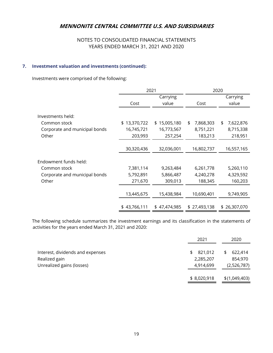# NOTES TO CONSOLIDATED FINANCIAL STATEMENTS YEARS ENDED MARCH 31, 2021 AND 2020

## **7. Investment valuation and investments (continued):**

Investments were comprised of the following:

|                               | 2021         |              |                 | 2020            |
|-------------------------------|--------------|--------------|-----------------|-----------------|
|                               |              | Carrying     |                 | Carrying        |
|                               | Cost         | value        | Cost            | value           |
|                               |              |              |                 |                 |
| Investments held:             |              |              |                 |                 |
| Common stock                  | \$13,370,722 | \$15,005,180 | \$<br>7,868,303 | 7,622,876<br>\$ |
| Corporate and municipal bonds | 16,745,721   | 16,773,567   | 8,751,221       | 8,715,338       |
| Other                         | 203,993      | 257,254      | 183,213         | 218,951         |
|                               |              |              |                 |                 |
|                               | 30,320,436   | 32,036,001   | 16,802,737      | 16,557,165      |
|                               |              |              |                 |                 |
| Endowment funds held:         |              |              |                 |                 |
| Common stock                  | 7,381,114    | 9,263,484    | 6,261,778       | 5,260,110       |
| Corporate and municipal bonds | 5,792,891    | 5,866,487    | 4,240,278       | 4,329,592       |
| Other                         | 271,670      | 309,013      | 188,345         | 160,203         |
|                               |              |              |                 |                 |
|                               | 13,445,675   | 15,438,984   | 10,690,401      | 9,749,905       |
|                               |              |              |                 |                 |
|                               | \$43,766,111 | \$47,474,985 | \$27,493,138    | \$26,307,070    |

 The following schedule summarizes the investment earnings and its classification in the statements of activities for the years ended March 31, 2021 and 2020:

|                                                   | 2021                       | 2020                      |  |
|---------------------------------------------------|----------------------------|---------------------------|--|
| Interest, dividends and expenses<br>Realized gain | 821,012<br>\$<br>2,285,207 | 622,414<br>\$.<br>854,970 |  |
| Unrealized gains (losses)                         | 4,914,699                  | (2,526,787)               |  |
|                                                   | \$8,020,918                | \$(1,049,403)             |  |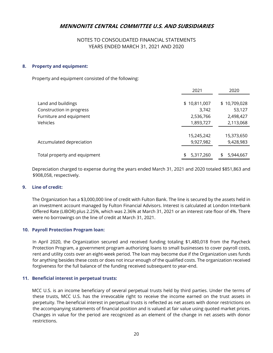## NOTES TO CONSOLIDATED FINANCIAL STATEMENTS YEARS ENDED MARCH 31, 2021 AND 2020

## **8. Property and equipment:**

Property and equipment consisted of the following:

|                              | 2021         | 2020         |
|------------------------------|--------------|--------------|
|                              |              |              |
| Land and buildings           | \$10,811,007 | \$10,709,028 |
| Construction in progress     | 3,742        | 53,127       |
| Furniture and equipment      | 2,536,766    | 2,498,427    |
| Vehicles                     | 1,893,727    | 2,113,068    |
|                              |              |              |
|                              | 15,245,242   | 15,373,650   |
| Accumulated depreciation     | 9,927,982    | 9,428,983    |
|                              |              |              |
| Total property and equipment | 5,317,260    | 5,944,667    |

 Depreciation charged to expense during the years ended March 31, 2021 and 2020 totaled \$851,863 and \$908,058, respectively.

## **9. Line of credit:**

 The Organization has a \$3,000,000 line of credit with Fulton Bank. The line is secured by the assets held in an investment account managed by Fulton Financial Advisors. Interest is calculated at London Interbank Offered Rate (LIBOR) plus 2.25%, which was 2.36% at March 31, 2021 or an interest rate floor of 4%. There were no borrowings on the line of credit at March 31, 2021.

## **10. Payroll Protection Program loan:**

In April 2020, the Organization secured and received funding totaling \$1,480,018 from the Paycheck Protection Program, a government program authorizing loans to small businesses to cover payroll costs, rent and utility costs over an eight-week period. The loan may become due if the Organization uses funds for anything besides these costs or does not incur enough of the qualified costs. The organization received forgiveness for the full balance of the funding received subsequent to year-end.

## **11. Beneficial interest in perpetual trusts:**

 MCC U.S. is an income beneficiary of several perpetual trusts held by third parties. Under the terms of these trusts, MCC U.S. has the irrevocable right to receive the income earned on the trust assets in perpetuity. The beneficial interest in perpetual trusts is reflected as net assets with donor restrictions on the accompanying statements of financial position and is valued at fair value using quoted market prices. Changes in value for the period are recognized as an element of the change in net assets with donor restrictions.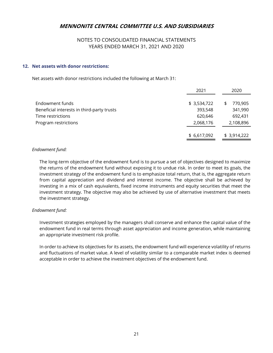## NOTES TO CONSOLIDATED FINANCIAL STATEMENTS YEARS ENDED MARCH 31, 2021 AND 2020

## **12. Net assets with donor restrictions:**

Net assets with donor restrictions included the following at March 31:

|                                            | 2021        | 2020          |
|--------------------------------------------|-------------|---------------|
| Endowment funds                            | \$3,534,722 | 770,905<br>\$ |
| Beneficial interests in third-party trusts | 393,548     | 341,990       |
| Time restrictions                          | 620,646     | 692,431       |
| Program restrictions                       | 2,068,176   | 2,108,896     |
|                                            | \$6,617,092 | \$3,914,222   |

#### *Endowment fund:*

 The long-term objective of the endowment fund is to pursue a set of objectives designed to maximize the returns of the endowment fund without exposing it to undue risk. In order to meet its goals, the investment strategy of the endowment fund is to emphasize total return, that is, the aggregate return from capital appreciation and dividend and interest income. The objective shall be achieved by investing in a mix of cash equivalents, fixed income instruments and equity securities that meet the investment strategy. The objective may also be achieved by use of alternative investment that meets the investment strategy.

## *Endowment fund:*

 Investment strategies employed by the managers shall conserve and enhance the capital value of the endowment fund in real terms through asset appreciation and income generation, while maintaining an appropriate investment risk profile.

 In order to achieve its objectives for its assets, the endowment fund will experience volatility of returns and fluctuations of market value. A level of volatility similar to a comparable market index is deemed acceptable in order to achieve the investment objectives of the endowment fund.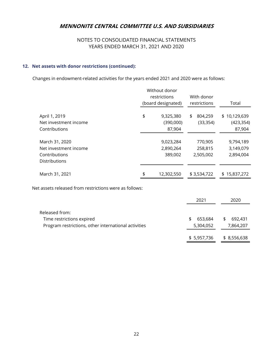# NOTES TO CONSOLIDATED FINANCIAL STATEMENTS YEARS ENDED MARCH 31, 2021 AND 2020

## **12. Net assets with donor restrictions (continued):**

Changes in endowment-related activities for the years ended 2021 and 2020 were as follows:

|                                                                                  | Without donor<br>restrictions |                                   |                                 |                                      |
|----------------------------------------------------------------------------------|-------------------------------|-----------------------------------|---------------------------------|--------------------------------------|
|                                                                                  |                               | (board designated)                | restrictions                    | Total                                |
| April 1, 2019<br>Net investment income<br>Contributions                          | \$                            | 9,325,380<br>(390,000)<br>87,904  | \$<br>804.259<br>(33, 354)      | \$10,129,639<br>(423, 354)<br>87,904 |
| March 31, 2020<br>Net investment income<br>Contributions<br><b>Distributions</b> |                               | 9,023,284<br>2,890,264<br>389,002 | 770,905<br>258,815<br>2,505,002 | 9,794,189<br>3,149,079<br>2,894,004  |
| March 31, 2021                                                                   | \$                            | 12,302,550                        | \$3,534,722                     | \$15,837,272                         |

Net assets released from restrictions were as follows:

|                                                                                                     | 2021                       | 2020                       |
|-----------------------------------------------------------------------------------------------------|----------------------------|----------------------------|
| Released from:<br>Time restrictions expired<br>Program restrictions, other international activities | 653.684<br>\$<br>5,304,052 | 692.431<br>\$<br>7,864,207 |
|                                                                                                     | \$5,957,736                | \$ 8,556,638               |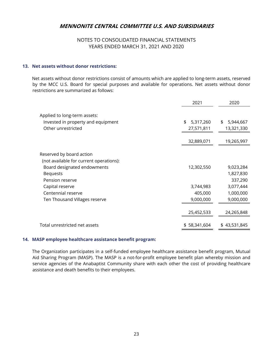## NOTES TO CONSOLIDATED FINANCIAL STATEMENTS YEARS ENDED MARCH 31, 2021 AND 2020

## **13. Net assets without donor restrictions:**

 Net assets without donor restrictions consist of amounts which are applied to long-term assets, reserved by the MCC U.S. Board for special purposes and available for operations. Net assets without donor restrictions are summarized as follows:

|                                                                                          | 2021                          | 2020                          |
|------------------------------------------------------------------------------------------|-------------------------------|-------------------------------|
| Applied to long-term assets:<br>Invested in property and equipment<br>Other unrestricted | \$<br>5,317,260<br>27,571,811 | \$<br>5,944,667<br>13,321,330 |
|                                                                                          | 32,889,071                    | 19,265,997                    |
| Reserved by board action<br>(not available for current operations):                      |                               |                               |
| Board designated endowments<br><b>Bequests</b>                                           | 12,302,550                    | 9,023,284<br>1,827,830        |
| Pension reserve                                                                          |                               | 337,290                       |
| Capital reserve<br>Centennial reserve                                                    | 3,744,983<br>405,000          | 3,077,444<br>1,000,000        |
| Ten Thousand Villages reserve                                                            | 9,000,000                     | 9,000,000                     |
|                                                                                          | 25,452,533                    | 24,265,848                    |
| Total unrestricted net assets                                                            | \$58,341,604                  | \$43,531,845                  |

#### **14. MASP employee healthcare assistance benefit program:**

 The Organization participates in a self-funded employee healthcare assistance benefit program, Mutual Aid Sharing Program (MASP). The MASP is a not-for-profit employee benefit plan whereby mission and service agencies of the Anabaptist Community share with each other the cost of providing healthcare assistance and death benefits to their employees.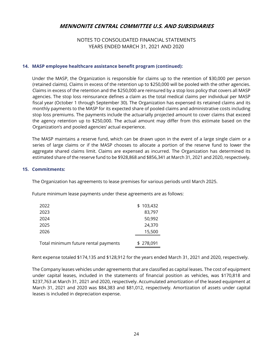## NOTES TO CONSOLIDATED FINANCIAL STATEMENTS YEARS ENDED MARCH 31, 2021 AND 2020

## **14. MASP employee healthcare assistance benefit program (continued):**

 Under the MASP, the Organization is responsible for claims up to the retention of \$30,000 per person (retained claims). Claims in excess of the retention up to \$250,000 will be pooled with the other agencies. Claims in excess of the retention and the \$250,000 are reinsured by a stop loss policy that covers all MASP agencies. The stop loss reinsurance defines a claim as the total medical claims per individual per MASP fiscal year (October 1 through September 30). The Organization has expensed its retained claims and its monthly payments to the MASP for its expected share of pooled claims and administrative costs including stop loss premiums. The payments include the actuarially projected amount to cover claims that exceed the agency retention up to \$250,000. The actual amount may differ from this estimate based on the Organization's and pooled agencies' actual experience.

 The MASP maintains a reserve fund, which can be drawn upon in the event of a large single claim or a series of large claims or if the MASP chooses to allocate a portion of the reserve fund to lower the aggregate shared claims limit. Claims are expensed as incurred. The Organization has determined its estimated share of the reserve fund to be \$928,868 and \$856,341 at March 31, 2021 and 2020, respectively.

#### **15. Commitments:**

The Organization has agreements to lease premises for various periods until March 2025.

| Future minimum lease payments under these agreements are as follows: |  |  |
|----------------------------------------------------------------------|--|--|
|                                                                      |  |  |

| 2022                                 | \$103,432 |
|--------------------------------------|-----------|
| 2023                                 | 83,797    |
| 2024                                 | 50,992    |
| 2025                                 | 24,370    |
| 2026                                 | 15,500    |
| Total minimum future rental payments | \$278,091 |

Rent expense totaled \$174,135 and \$128,912 for the years ended March 31, 2021 and 2020, respectively.

 The Company leases vehicles under agreements that are classified as capital leases. The cost of equipment under capital leases, included in the statements of financial position as vehicles, was \$170,818 and \$237,763 at March 31, 2021 and 2020, respectively. Accumulated amortization of the leased equipment at March 31, 2021 and 2020 was \$84,383 and \$81,012, respectively. Amortization of assets under capital leases is included in depreciation expense.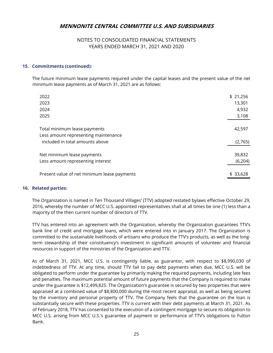## NOTES TO CONSOLIDATED FINANCIAL STATEMENTS YEARS ENDED MARCH 31, 2021 AND 2020

## **15. Commitments (continued):**

 The future minimum lease payments required under the capital leases and the present value of the net minimum lease payments as of March 31, 2021 are as follows:

| 2022                                        | \$21,256 |
|---------------------------------------------|----------|
| 2023                                        | 13,301   |
| 2024                                        | 4,932    |
| 2025                                        | 3,108    |
|                                             |          |
| Total minimum lease payments                | 42,597   |
| Less amount representing maintenance        |          |
| included in total amounts above             | (2,765)  |
|                                             | 39,832   |
| Net minimum lease payments                  |          |
| Less amount representing interest           | (6, 204) |
|                                             |          |
| Present value of net minimum lease payments | \$33,628 |

## **16. Related parties:**

 The Organization is named in Ten Thousand Villages' (TTV) adopted restated bylaws effective October 29, 2016, whereby the number of MCC U.S. appointed representatives shall at all times be one (1) less than a majority of the then current number of directors of TTV.

 TTV has entered into an agreement with the Organization, whereby the Organization guarantees TTV's bank line of credit and mortgage loans, which were entered into in January 2017. The Organization is committed to the sustainable livelihoods of artisans who produce the TTV's products, as well as the longterm stewardship of their constituency's investment in significant amounts of volunteer and financial resources in support of the ministries of the Organization and TTV.

 As of March 31, 2021, MCC U.S. is contingently liable, as guarantor, with respect to \$8,990,030 of indebtedness of TTV. At any time, should TTV fail to pay debt payments when due, MCC U.S. will be obligated to perform under the guarantee by primarily making the required payments, including late fees and penalties. The maximum potential amount of future payments that the Company is required to make under the guarantee is \$12,499,825. The Organization's guarantee is secured by two properties that were appraised at a combined value of \$8,800,000 during the most recent appraisal, as well as being secured by the inventory and personal property of TTV. The Company feels that the guarantee on the loan is substantially secure with these properties. TTV is current with their debt payments at March 31, 2021. As of February 2018, TTV has consented to the execution of a contingent mortgage to secure its obligation to MCC U.S. arising from MCC U.S.'s guarantee of payment or performance of TTV's obligations to Fulton Bank.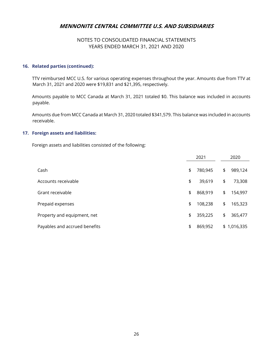## NOTES TO CONSOLIDATED FINANCIAL STATEMENTS YEARS ENDED MARCH 31, 2021 AND 2020

## **16. Related parties (continued):**

 TTV reimbursed MCC U.S. for various operating expenses throughout the year. Amounts due from TTV at March 31, 2021 and 2020 were \$19,831 and \$21,395, respectively.

 Amounts payable to MCC Canada at March 31, 2021 totaled \$0. This balance was included in accounts payable.

 Amounts due from MCC Canada at March 31, 2020 totaled \$341,579. This balance was included in accounts receivable.

#### **17. Foreign assets and liabilities:**

Foreign assets and liabilities consisted of the following:

|                               | 2021          | 2020          |
|-------------------------------|---------------|---------------|
| Cash                          | \$<br>780,945 | \$<br>989,124 |
| Accounts receivable           | \$<br>39,619  | \$<br>73,308  |
| Grant receivable              | \$<br>868,919 | \$<br>154,997 |
| Prepaid expenses              | \$<br>108,238 | \$<br>165,323 |
| Property and equipment, net   | \$<br>359,225 | \$<br>365,477 |
| Payables and accrued benefits | \$<br>869,952 | \$1,016,335   |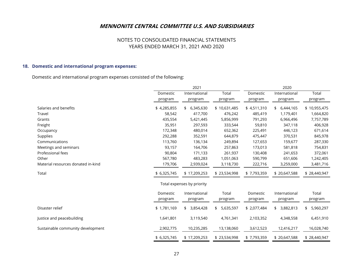## NOTES TO CONSOLIDATED FINANCIAL STATEMENTS YEARS ENDED MARCH 31, 2021 AND 2020

## **18. Domestic and international program expenses:**

Domestic and international program expenses consisted of the following:

|                                    |                     | 2021                       |                  | 2020                |                          |                  |  |  |
|------------------------------------|---------------------|----------------------------|------------------|---------------------|--------------------------|------------------|--|--|
|                                    | Domestic            | International              | Total            | Domestic            | International            | Total            |  |  |
|                                    | program             | program                    | program          | program             | program                  | program          |  |  |
| Salaries and benefits              | \$4,285,855         | 6,345,630<br>\$            | \$10,631,485     | \$4,511,310         | 6,444,165<br>\$          | \$10,955,475     |  |  |
| Travel                             | 58,542              | 417,700                    | 476,242          | 485,419             | 1,179,401                | 1,664,820        |  |  |
| Grants                             | 435,554             | 5,421,445                  | 5,856,999        | 791,293             | 6,966,496                | 7,757,789        |  |  |
| Freight                            | 35,951              | 297,593                    | 333,544          | 59,810              | 347,118                  | 406,928          |  |  |
| Occupancy                          | 172,348             | 480,014                    | 652,362          | 225,491             | 446,123                  | 671,614          |  |  |
| Supplies                           | 292,288             | 352,591                    | 644,879          | 475,447             | 370,531                  | 845,978          |  |  |
| Communications                     | 113,760             | 136,134                    | 249,894          | 127,653             | 159,677                  | 287,330          |  |  |
| Meetings and seminars              | 93,157              | 164,706                    | 257,863          | 173,013             | 581,818                  | 754,831          |  |  |
| Professional fees                  | 90,804              | 171,133                    | 261,937          | 130,408             | 241,653                  | 372,061          |  |  |
| Other                              | 567,780             | 483,283                    | 1,051,063        | 590,799             | 651,606                  | 1,242,405        |  |  |
| Material resources donated in-kind | 179,706             | 2,939,024                  | 3,118,730        | 222,716             | 3,259,000                | 3,481,716        |  |  |
| Total                              | \$ 6,325,745        | \$17,209,253               | \$23,534,998     | \$7,793,359         | \$20,647,588             | \$28,440,947     |  |  |
|                                    |                     | Total expenses by priority |                  |                     |                          |                  |  |  |
|                                    | Domestic<br>program | International<br>program   | Total<br>program | Domestic<br>program | International<br>program | Total<br>program |  |  |
| Disaster relief                    | \$1,781,169         | 3,854,428<br>\$            | 5,635,597<br>\$  | \$2,077,484         | 3,882,813<br>\$          | 5,960,297<br>\$  |  |  |
| Justice and peacebuilding          | 1,641,801           | 3,119,540                  | 4,761,341        | 2,103,352           | 4,348,558                | 6,451,910        |  |  |
| Sustainable community development  | 2,902,775           | 10,235,285                 | 13,138,060       | 3,612,523           | 12,416,217               | 16,028,740       |  |  |
|                                    | \$ 6,325,745        | \$17,209,253               | \$23,534,998     | \$7,793,359         | \$20,647,588             | \$28,440,947     |  |  |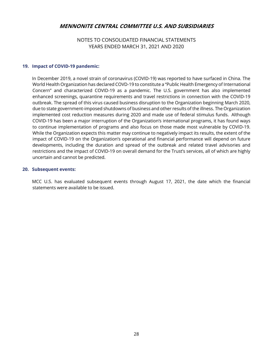NOTES TO CONSOLIDATED FINANCIAL STATEMENTS YEARS ENDED MARCH 31, 2021 AND 2020

## **19. Impact of COVID-19 pandemic:**

 In December 2019, a novel strain of coronavirus (COVID-19) was reported to have surfaced in China. The World Health Organization has declared COVD-19 to constitute a "Public Health Emergency of International Concern" and characterized COVID-19 as a pandemic. The U.S. government has also implemented enhanced screenings, quarantine requirements and travel restrictions in connection with the COVID-19 outbreak. The spread of this virus caused business disruption to the Organization beginning March 2020, due to state government-imposed shutdowns of business and other results of the illness. The Organization implemented cost reduction measures during 2020 and made use of federal stimulus funds. Although COVID-19 has been a major interruption of the Organization's international programs, it has found ways to continue implementation of programs and also focus on those made most vulnerable by COVID-19. While the Organization expects this matter may continue to negatively impact its results, the extent of the impact of COVID-19 on the Organization's operational and financial performance will depend on future developments, including the duration and spread of the outbreak and related travel advisories and restrictions and the impact of COVID-19 on overall demand for the Trust's services, all of which are highly uncertain and cannot be predicted.

#### **20. Subsequent events:**

 MCC U.S. has evaluated subsequent events through August 17, 2021, the date which the financial statements were available to be issued.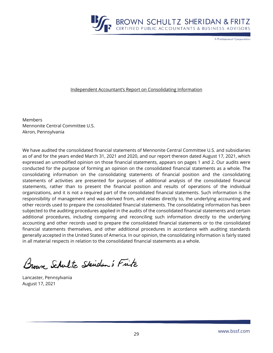

A Professional Corporation

#### Independent Accountant's Report on Consolidating Information

Members Mennonite Central Committee U.S. Akron, Pennsylvania

We have audited the consolidated financial statements of Mennonite Central Committee U.S. and subsidiaries as of and for the years ended March 31, 2021 and 2020, and our report thereon dated August 17, 2021, which expressed an unmodified opinion on those financial statements, appears on pages 1 and 2. Our audits were conducted for the purpose of forming an opinion on the consolidated financial statements as a whole. The consolidating information on the consolidating statements of financial position and the consolidating statements of activities are presented for purposes of additional analysis of the consolidated financial statements, rather than to present the financial position and results of operations of the individual organizations, and it is not a required part of the consolidated financial statements. Such information is the responsibility of management and was derived from, and relates directly to, the underlying accounting and other records used to prepare the consolidated financial statements. The consolidating information has been subjected to the auditing procedures applied in the audits of the consolidated financial statements and certain additional procedures, including comparing and reconciling such information directly to the underlying accounting and other records used to prepare the consolidated financial statements or to the consolidated financial statements themselves, and other additional procedures in accordance with auditing standards generally accepted in the United States of America. In our opinion, the consolidating information is fairly stated in all material respects in relation to the consolidated financial statements as a whole.

Brown, Schultz Skidan's Fitz

Lancaster, Pennsylvania August 17, 2021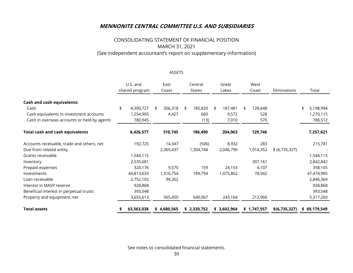# CONSOLIDATING STATEMENT OF FINANCIAL POSITION MARCH 31, 2021 (See independent accountant's report on supplementary information)

## ASSETS

|                                             | U.S. and        | East<br>Central |               | Great         | West          |                |                 |  |
|---------------------------------------------|-----------------|-----------------|---------------|---------------|---------------|----------------|-----------------|--|
|                                             | shared program  | Coast           | <b>States</b> | Lakes         |               | Eliminations   | Total           |  |
| <b>Cash and cash equivalents:</b>           |                 |                 |               |               |               |                |                 |  |
| Cash                                        | 4,390,727<br>\$ | 306,318<br>\$   | 185,820<br>\$ | 187,481<br>\$ | 128,648<br>\$ |                | 5,198,994<br>\$ |  |
| Cash equivalents in investment accounts     | 1,254,905       | 4,427           | 683           | 9,572         | 528           |                | 1,270,115       |  |
| Cash in overseas accounts or held by agents | 780,945         |                 | (13)          | 7,010         | 570           |                | 788,512         |  |
| <b>Total cash and cash equivalents</b>      | 6,426,577       | 310,745         | 186,490       | 204,063       | 129,746       |                | 7,257,621       |  |
| Accounts receivable, trade and others, net  | 192,725         | 14,347          | (506)         | 8,932         | 283           |                | 215,781         |  |
| Due from related entity                     |                 | 2,369,437       | 1,304,748     | 2,046,790     | 1,014,352     | \$ (6,735,327) |                 |  |
| Grants receivable                           | 1,544,115       |                 |               |               |               |                | 1,544,115       |  |
| Inventory                                   | 2,535,681       |                 |               |               | 307,161       |                | 2,842,842       |  |
| Prepaid expenses                            | 320,176         | 9,570           | 159           | 24,153        | 4,107         |                | 358,165         |  |
| Investments                                 | 44,813,633      | 1,316,754       | 189,794       | 1,075,862     | 78,942        |                | 47,474,985      |  |
| Loan receivable                             | 2,752,102       | 94,262          |               |               |               |                | 2,846,364       |  |
| Interest in MASP reserve                    | 928,868         |                 |               |               |               |                | 928,868         |  |
| Beneficial interest in perpetual trusts     | 393,548         |                 |               |               |               |                | 393,548         |  |
| Property and equipment, net                 | 3,655,613       | 565,450         | 640,067       | 243,164       | 212,966       |                | 5,317,260       |  |
| <b>Total assets</b>                         | 63,563,038      | \$4,680,565     | \$2,320,752   | \$3,602,964   | \$1,747,557   | \$(6,735,327)  | \$69,179,549    |  |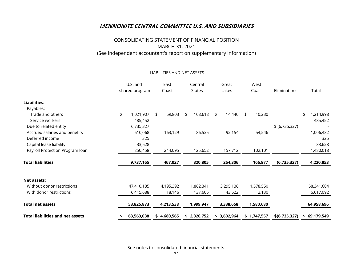# CONSOLIDATING STATEMENT OF FINANCIAL POSITION MARCH 31, 2021 (See independent accountant's report on supplementary information)

#### LIABILITIES AND NET ASSETS

|                                         | U.S. and<br>East |                | Central      |    | Great       |       | West        |       |             |                |       |              |
|-----------------------------------------|------------------|----------------|--------------|----|-------------|-------|-------------|-------|-------------|----------------|-------|--------------|
|                                         |                  | shared program | Coast        |    | States      | Lakes |             | Coast |             | Eliminations   | Total |              |
| <b>Liabilities:</b>                     |                  |                |              |    |             |       |             |       |             |                |       |              |
| Payables:                               |                  |                |              |    |             |       |             |       |             |                |       |              |
| Trade and others                        | \$               | 1,021,907      | \$<br>59,803 | \$ | 108,618     | \$    | 14,440      | \$    | 10,230      |                | \$    | 1,214,998    |
| Service workers                         |                  | 485,452        |              |    |             |       |             |       |             |                |       | 485,452      |
| Due to related entity                   |                  | 6,735,327      |              |    |             |       |             |       |             | \$ (6,735,327) |       |              |
| Accrued salaries and benefits           |                  | 610,068        | 163,129      |    | 86,535      |       | 92,154      |       | 54,546      |                |       | 1,006,432    |
| Deferred income                         |                  | 325            |              |    |             |       |             |       |             |                |       | 325          |
| Capital lease liability                 |                  | 33,628         |              |    |             |       |             |       |             |                |       | 33,628       |
| Payroll Protection Program loan         |                  | 850,458        | 244,095      |    | 125,652     |       | 157,712     |       | 102,101     |                |       | 1,480,018    |
| <b>Total liabilities</b>                |                  | 9,737,165      | 467,027      |    | 320,805     |       | 264,306     |       | 166,877     | (6,735,327)    |       | 4,220,853    |
|                                         |                  |                |              |    |             |       |             |       |             |                |       |              |
| Net assets:                             |                  |                |              |    |             |       |             |       |             |                |       |              |
| Without donor restrictions              |                  | 47,410,185     | 4,195,392    |    | 1,862,341   |       | 3,295,136   |       | 1,578,550   |                |       | 58,341,604   |
| With donor restrictions                 |                  | 6,415,688      | 18,146       |    | 137,606     |       | 43,522      |       | 2,130       |                |       | 6,617,092    |
| <b>Total net assets</b>                 |                  | 53,825,873     | 4,213,538    |    | 1,999,947   |       | 3,338,658   |       | 1,580,680   |                |       | 64,958,696   |
| <b>Total liabilities and net assets</b> |                  | 63,563,038     | \$4,680,565  |    | \$2,320,752 |       | \$3,602,964 |       | \$1,747,557 | \$(6,735,327)  |       | \$69,179,549 |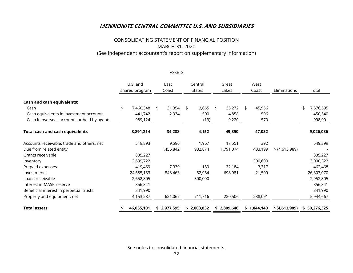# CONSOLIDATING STATEMENT OF FINANCIAL POSITION MARCH 31, 2020 (See independent accountant's report on supplementary information)

ASSETS

|                                             | U.S. and<br>shared program |    | East<br>Coast | Central<br>States | Great<br>Lakes |             | West<br>Coast |             | Eliminations   | Total           |
|---------------------------------------------|----------------------------|----|---------------|-------------------|----------------|-------------|---------------|-------------|----------------|-----------------|
| <b>Cash and cash equivalents:</b><br>Cash   | 7,460,348<br>\$            | \$ | 31,354        | 3,665<br>\$       | \$             | 35,272      | \$            | 45,956      |                | \$<br>7,576,595 |
| Cash equivalents in investment accounts     | 441,742                    |    | 2,934         | 500               |                | 4,858       |               | 506         |                | 450,540         |
| Cash in overseas accounts or held by agents | 989,124                    |    |               | (13)              |                | 9,220       |               | 570         |                | 998,901         |
| <b>Total cash and cash equivalents</b>      | 8,891,214                  |    | 34,288        | 4,152             |                | 49,350      |               | 47,032      |                | 9,026,036       |
| Accounts receivable, trade and others, net  | 519,893                    |    | 9,596         | 1,967             |                | 17,551      |               | 392         |                | 549,399         |
| Due from related entity                     |                            |    | 1,456,842     | 932,874           |                | 1,791,074   |               | 433,199     | \$ (4,613,989) |                 |
| Grants receivable                           | 835,227                    |    |               |                   |                |             |               |             |                | 835,227         |
| Inventory                                   | 2,699,722                  |    |               |                   |                |             |               | 300,600     |                | 3,000,322       |
| Prepaid expenses                            | 419,469                    |    | 7,339         | 159               |                | 32,184      |               | 3,317       |                | 462,468         |
| Investments                                 | 24,685,153                 |    | 848,463       | 52,964            |                | 698,981     |               | 21,509      |                | 26,307,070      |
| Loans receivable                            | 2,652,805                  |    |               | 300,000           |                |             |               |             |                | 2,952,805       |
| Interest in MASP reserve                    | 856,341                    |    |               |                   |                |             |               |             |                | 856,341         |
| Beneficial interest in perpetual trusts     | 341,990                    |    |               |                   |                |             |               |             |                | 341,990         |
| Property and equipment, net                 | 4,153,287                  |    | 621,067       | 711,716           |                | 220,506     |               | 238,091     |                | 5,944,667       |
| <b>Total assets</b>                         | 46,055,101                 |    | \$2,977,595   | \$2,003,832       |                | \$2,809,646 |               | \$1,044,140 | \$(4,613,989)  | \$50,276,325    |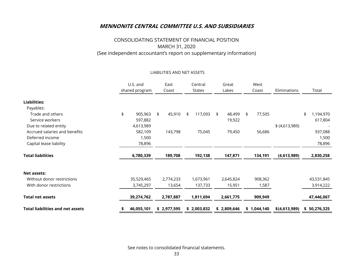# CONSOLIDATING STATEMENT OF FINANCIAL POSITION MARCH 31, 2020 (See independent accountant's report on supplementary information)

#### LIABILITIES AND NET ASSETS

|                                         | U.S. and         |    | East        |    | Central       |    | Great       |    | West        |                |                 |
|-----------------------------------------|------------------|----|-------------|----|---------------|----|-------------|----|-------------|----------------|-----------------|
|                                         | shared program   |    | Coast       |    | <b>States</b> |    | Lakes       |    | Coast       | Eliminations   | Total           |
| <b>Liabilities:</b>                     |                  |    |             |    |               |    |             |    |             |                |                 |
| Payables:                               |                  |    |             |    |               |    |             |    |             |                |                 |
| Trade and others                        | \$<br>905,963    | \$ | 45,910      | \$ | 117,093       | \$ | 48,499      | \$ | 77,505      |                | \$<br>1,194,970 |
| Service workers                         | 597,882          |    |             |    |               |    | 19,922      |    |             |                | 617,804         |
| Due to related entity                   | 4,613,989        |    |             |    |               |    |             |    |             | \$ (4,613,989) |                 |
| Accrued salaries and benefits           | 582,109          |    | 143,798     |    | 75,045        |    | 79,450      |    | 56,686      |                | 937,088         |
| Deferred income                         | 1,500            |    |             |    |               |    |             |    |             |                | 1,500           |
| Capital lease liability                 | 78,896           |    |             |    |               |    |             |    |             |                | 78,896          |
| <b>Total liabilities</b>                | 6,780,339        |    | 189,708     |    | 192,138       |    | 147,871     |    | 134,191     | (4,613,989)    | 2,830,258       |
|                                         |                  |    |             |    |               |    |             |    |             |                |                 |
| Net assets:                             |                  |    |             |    |               |    |             |    |             |                |                 |
| Without donor restrictions              | 35,529,465       |    | 2,774,233   |    | 1,673,961     |    | 2,645,824   |    | 908,362     |                | 43,531,845      |
| With donor restrictions                 | 3,745,297        |    | 13,654      |    | 137,733       |    | 15,951      |    | 1,587       |                | 3,914,222       |
| <b>Total net assets</b>                 | 39,274,762       |    | 2,787,887   |    | 1,811,694     |    | 2,661,775   |    | 909,949     |                | 47,446,067      |
| <b>Total liabilities and net assets</b> | \$<br>46,055,101 |    | \$2,977,595 |    | \$2,003,832   |    | \$2,809,646 |    | \$1,044,140 | \$(4,613,989)  | \$50,276,325    |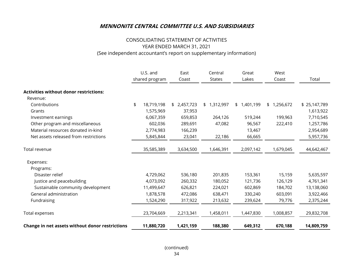## CONSOLIDATING STATEMENT OF ACTIVITIES YEAR ENDED MARCH 31, 2021 (See independent accountant's report on supplementary information)

|                                                 | U.S. and |                | East        | Central       | Great       | West        |              |
|-------------------------------------------------|----------|----------------|-------------|---------------|-------------|-------------|--------------|
|                                                 |          | shared program | Coast       | <b>States</b> | Lakes       | Coast       | Total        |
| <b>Activities without donor restrictions:</b>   |          |                |             |               |             |             |              |
| Revenue:                                        |          |                |             |               |             |             |              |
| Contributions                                   | \$       | 18,719,198     | \$2,457,723 | \$1,312,997   | \$1,401,199 | \$1,256,672 | \$25,147,789 |
| Grants                                          |          | 1,575,969      | 37,953      |               |             |             | 1,613,922    |
| Investment earnings                             |          | 6,067,359      | 659,853     | 264,126       | 519,244     | 199,963     | 7,710,545    |
| Other program and miscellaneous                 |          | 602,036        | 289,691     | 47,082        | 96,567      | 222,410     | 1,257,786    |
| Material resources donated in-kind              |          | 2,774,983      | 166,239     |               | 13,467      |             | 2,954,689    |
| Net assets released from restrictions           |          | 5,845,844      | 23,041      | 22,186        | 66,665      |             | 5,957,736    |
| Total revenue                                   |          | 35,585,389     | 3,634,500   | 1,646,391     | 2,097,142   | 1,679,045   | 44,642,467   |
| Expenses:                                       |          |                |             |               |             |             |              |
| Programs:                                       |          |                |             |               |             |             |              |
| Disaster relief                                 |          | 4,729,062      | 536,180     | 201,835       | 153,361     | 15,159      | 5,635,597    |
| Justice and peacebuilding                       |          | 4,073,092      | 260,332     | 180,052       | 121,736     | 126,129     | 4,761,341    |
| Sustainable community development               |          | 11,499,647     | 626,821     | 224,021       | 602,869     | 184,702     | 13,138,060   |
| General administration                          |          | 1,878,578      | 472,086     | 638,471       | 330,240     | 603,091     | 3,922,466    |
| Fundraising                                     |          | 1,524,290      | 317,922     | 213,632       | 239,624     | 79,776      | 2,375,244    |
| Total expenses                                  |          | 23,704,669     | 2,213,341   | 1,458,011     | 1,447,830   | 1,008,857   | 29,832,708   |
| Change in net assets without donor restrictions |          | 11,880,720     | 1,421,159   | 188,380       | 649,312     | 670,188     | 14,809,759   |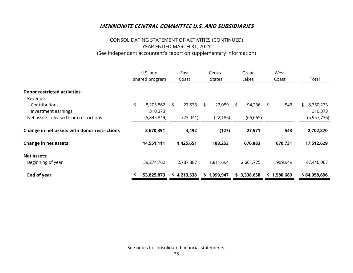# CONSOLIDATING STATEMENT OF ACTIVITIES (CONTINUED) YEAR ENDED MARCH 31, 2021 (See independent accountant's report on supplementary information)

| <b>Donor restricted activities:</b><br>Revenue:<br>Contributions<br>Investment earnings |  | U.S. and<br>shared program | East<br>Coast | Central<br><b>States</b> | Great<br>Lakes |            | West<br>Coast | Total                       |  |
|-----------------------------------------------------------------------------------------|--|----------------------------|---------------|--------------------------|----------------|------------|---------------|-----------------------------|--|
|                                                                                         |  | 8,205,862<br>310,373       | \$<br>27,533  | \$<br>22,059             | \$<br>94,236   | $\sqrt{5}$ | 543           | 8,350,233<br>\$.<br>310,373 |  |
| Net assets released from restrictions                                                   |  | (5,845,844)                | (23,041)      | (22, 186)                | (66, 665)      |            |               | (5,957,736)                 |  |
| Change in net assets with donor restrictions                                            |  | 2,670,391                  | 4,492         | (127)                    | 27,571         |            | 543           | 2,702,870                   |  |
| <b>Change in net assets</b>                                                             |  | 14,551,111                 | 1,425,651     | 188,253                  | 676,883        |            | 670,731       | 17,512,629                  |  |
| Net assets:<br>Beginning of year                                                        |  | 39,274,762                 | 2,787,887     | 1,811,694                | 2,661,775      |            | 909,949       | 47,446,067                  |  |
| End of year                                                                             |  | 53,825,873                 | \$4,213,538   | \$1,999,947              | \$3,338,658    |            | \$1,580,680   | \$64,958,696                |  |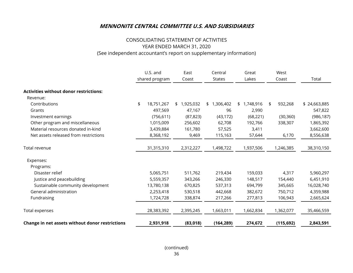## CONSOLIDATING STATEMENT OF ACTIVITIES YEAR ENDED MARCH 31, 2020 (See independent accountant's report on supplementary information)

|                                                 |    | U.S. and<br>shared program | East<br>Coast   |    | Central<br><b>States</b> | Great<br>Lakes  | West<br>Coast |            | Total        |
|-------------------------------------------------|----|----------------------------|-----------------|----|--------------------------|-----------------|---------------|------------|--------------|
| <b>Activities without donor restrictions:</b>   |    |                            |                 |    |                          |                 |               |            |              |
| Revenue:                                        |    |                            |                 |    |                          |                 |               |            |              |
| Contributions                                   | \$ | 18,751,267                 | 1,925,032<br>\$ | \$ | 1,306,402                | \$<br>1,748,916 | \$            | 932,268    | \$24,663,885 |
| Grants                                          |    | 497,569                    | 47,167          |    | 96                       | 2,990           |               |            | 547,822      |
| Investment earnings                             |    | (756, 611)                 | (87, 823)       |    | (43, 172)                | (68, 221)       |               | (30, 360)  | (986, 187)   |
| Other program and miscellaneous                 |    | 1,015,009                  | 256,602         |    | 62,708                   | 192,766         |               | 338,307    | 1,865,392    |
| Material resources donated in-kind              |    | 3,439,884                  | 161,780         |    | 57,525                   | 3,411           |               |            | 3,662,600    |
| Net assets released from restrictions           |    | 8,368,192                  | 9,469           |    | 115,163                  | 57,644          |               | 6,170      | 8,556,638    |
| Total revenue                                   |    | 31,315,310                 | 2,312,227       |    | 1,498,722                | 1,937,506       |               | 1,246,385  | 38,310,150   |
| Expenses:                                       |    |                            |                 |    |                          |                 |               |            |              |
| Programs:                                       |    |                            |                 |    |                          |                 |               |            |              |
| Disaster relief                                 |    | 5,065,751                  | 511,762         |    | 219,434                  | 159,033         |               | 4,317      | 5,960,297    |
| Justice and peacebuilding                       |    | 5,559,357                  | 343,266         |    | 246,330                  | 148,517         |               | 154,440    | 6,451,910    |
| Sustainable community development               |    | 13,780,138                 | 670,825         |    | 537,313                  | 694,799         |               | 345,665    | 16,028,740   |
| General administration                          |    | 2,253,418                  | 530,518         |    | 442,668                  | 382,672         |               | 750,712    | 4,359,988    |
| Fundraising                                     |    | 1,724,728                  | 338,874         |    | 217,266                  | 277,813         |               | 106,943    | 2,665,624    |
| Total expenses                                  |    | 28,383,392                 | 2,395,245       |    | 1,663,011                | 1,662,834       |               | 1,362,077  | 35,466,559   |
| Change in net assets without donor restrictions |    | 2,931,918                  | (83,018)        |    | (164, 289)               | 274,672         |               | (115, 692) | 2,843,591    |